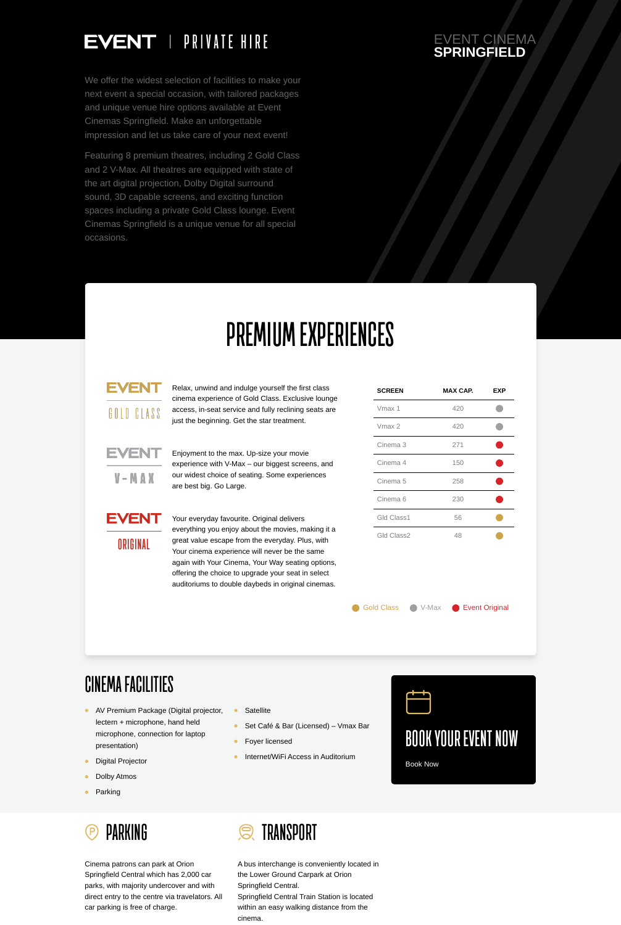Cinema patrons can park at Orion Springfield Central which has 2,000 car parks, with majority undercover and with direct entry to the centre via travelators. All car parking is free of charge.



A bus interchange is conveniently located in the Lower Ground Carpark at Orion Springfield Central. Springfield Central Train Station is located within an easy walking distance from the cinema.

#### EVENT CINEMA **SPRINGFIELD**



We offer the widest selection of facilities to make your next event a special occasion, with tailored packages and unique venue hire options available at Event Cinemas Springfield. Make an unforgettable impression and let us take care of your next event!

Featuring 8 premium theatres, including 2 Gold Class and 2 V-Max. All theatres are equipped with state of the art digital projection, Dolby Digital surround sound, 3D capable screens, and exciting function spaces including a private Gold Class lounge. Event Cinemas Springfield is a unique venue for all special occasions.

- AV Premium Package (Digital projector,  $\bullet$ lectern + microphone, hand held microphone, connection for laptop presentation)
- $\bullet$ Digital Projector
- Dolby Atmos  $\bullet$
- Parking  $\bullet$

# **PREMIUM EXPERIENCES**

### EVENT

GOLD CLASS

- Set Café & Bar (Licensed) Vmax Bar  $\bullet$
- Foyer licensed  $\bullet$
- Internet/WiFi Access in Auditorium $\bullet$

Relax, unwind and indulge yourself the first class cinema experience of Gold Class. Exclusive lounge access, in-seat service and fully reclining seats are just the beginning. Get the star treatment.



Enjoyment to the max. Up-size your movie experience with V-Max – our biggest screens, and our widest choice of seating. Some experiences are best big. Go Large.



Your everyday favourite. Original delivers everything you enjoy about the movies, making it a great value escape from the everyday. Plus, with

Your cinema experience will never be the same again with Your Cinema, Your Way seating options, offering the choice to upgrade your seat in select auditoriums to double daybeds in original cinemas.

Gold Class C V-Max C Event Original

| <b>SCREEN</b>       | <b>MAX CAP.</b> | <b>EXP</b> |
|---------------------|-----------------|------------|
| Vmax 1              | 420             |            |
| Vmax 2              | 420             |            |
| Cinema <sub>3</sub> | 271             |            |
| Cinema 4            | 150             |            |
| Cinema <sub>5</sub> | 258             |            |
| Cinema <sub>6</sub> | 230             |            |
| Gld Class1          | 56              |            |
| <b>Gld Class2</b>   | 48              |            |

#### ORIGINAL

## **CINEMA FACILITIES**



**PARKING**  $(P)$